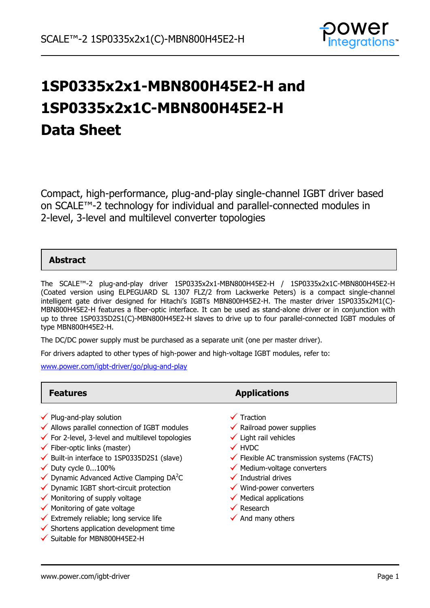

# **1SP0335x2x1-MBN800H45E2-H and 1SP0335x2x1C-MBN800H45E2-H Data Sheet**

Compact, high-performance, plug-and-play single-channel IGBT driver based on SCALE™-2 technology for individual and parallel-connected modules in 2-level, 3-level and multilevel converter topologies

### **Abstract**

The SCALE™-2 plug-and-play driver 1SP0335x2x1-MBN800H45E2-H / 1SP0335x2x1C-MBN800H45E2-H (Coated version using ELPEGUARD SL 1307 FLZ/2 from Lackwerke Peters) is a compact single-channel intelligent gate driver designed for Hitachi's IGBTs MBN800H45E2-H. The master driver 1SP0335x2M1(C)- MBN800H45E2-H features a fiber-optic interface. It can be used as stand-alone driver or in conjunction with up to three 1SP0335D2S1(C)-MBN800H45E2-H slaves to drive up to four parallel-connected IGBT modules of type MBN800H45E2-H.

The DC/DC power supply must be purchased as a separate unit (one per master driver).

For drivers adapted to other types of high-power and high-voltage IGBT modules, refer to:

[www.power.com/igbt-driver/go/plug-and-play](http://www.power.com/igbt-driver/go/plug-and-play)

| <b>Features</b>                                                                                                                                                                                                                                                                                                                                                                                                                                                                                                                                                                                                                  | <b>Applications</b>                                                                                                                                                                                                                                                                                                                                                                             |
|----------------------------------------------------------------------------------------------------------------------------------------------------------------------------------------------------------------------------------------------------------------------------------------------------------------------------------------------------------------------------------------------------------------------------------------------------------------------------------------------------------------------------------------------------------------------------------------------------------------------------------|-------------------------------------------------------------------------------------------------------------------------------------------------------------------------------------------------------------------------------------------------------------------------------------------------------------------------------------------------------------------------------------------------|
| $\checkmark$ Plug-and-play solution<br>$\checkmark$ Allows parallel connection of IGBT modules<br>$\checkmark$ For 2-level, 3-level and multilevel topologies<br>$\checkmark$ Fiber-optic links (master)<br>$\checkmark$ Built-in interface to 1SP0335D2S1 (slave)<br>$\checkmark$ Duty cycle 0100%<br>$\checkmark$ Dynamic Advanced Active Clamping DA <sup>2</sup> C<br>$\checkmark$ Dynamic IGBT short-circuit protection<br>$\checkmark$ Monitoring of supply voltage<br>$\checkmark$ Monitoring of gate voltage<br>$\checkmark$ Extremely reliable; long service life<br>$\checkmark$ Shortens application development time | $\checkmark$ Traction<br>$\checkmark$ Railroad power supplies<br>$\checkmark$ Light rail vehicles<br>$\checkmark$ HVDC<br>$\checkmark$ Flexible AC transmission systems (FACTS)<br>$\checkmark$ Medium-voltage converters<br>$\checkmark$ Industrial drives<br>$\checkmark$ Wind-power converters<br>$\checkmark$ Medical applications<br>$\checkmark$ Research<br>$\checkmark$ And many others |
| ✔ Suitable for MBN800H45E2-H                                                                                                                                                                                                                                                                                                                                                                                                                                                                                                                                                                                                     |                                                                                                                                                                                                                                                                                                                                                                                                 |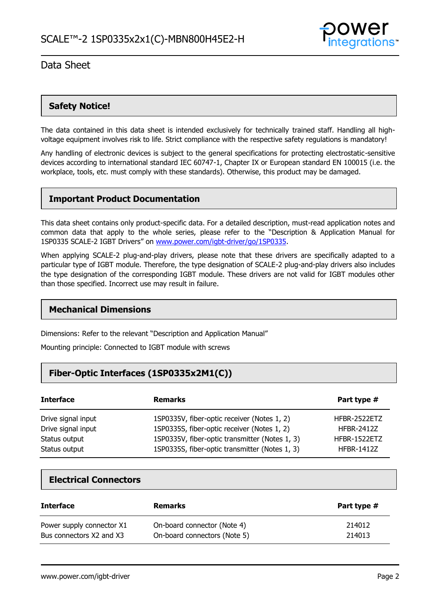

### **Safety Notice!**

The data contained in this data sheet is intended exclusively for technically trained staff. Handling all highvoltage equipment involves risk to life. Strict compliance with the respective safety regulations is mandatory!

Any handling of electronic devices is subject to the general specifications for protecting electrostatic-sensitive devices according to international standard IEC 60747-1, Chapter IX or European standard EN 100015 (i.e. the workplace, tools, etc. must comply with these standards). Otherwise, this product may be damaged.

### **Important Product Documentation**

This data sheet contains only product-specific data. For a detailed description, must-read application notes and common data that apply to the whole series, please refer to the "Description & Application Manual for 1SP0335 SCALE-2 IGBT Drivers" on [www.power.com/igbt-driver/go/1SP0335.](http://www.power.com/igbt-driver/go/1SP0335)

When applying SCALE-2 plug-and-play drivers, please note that these drivers are specifically adapted to a particular type of IGBT module. Therefore, the type designation of SCALE-2 plug-and-play drivers also includes the type designation of the corresponding IGBT module. These drivers are not valid for IGBT modules other than those specified. Incorrect use may result in failure.

### **Mechanical Dimensions**

Dimensions: Refer to the relevant "Description and Application Manual"

Mounting principle: Connected to IGBT module with screws

### **Fiber-Optic Interfaces (1SP0335x2M1(C))**

| <b>Interface</b>   | <b>Remarks</b>                                 | Part type #       |
|--------------------|------------------------------------------------|-------------------|
| Drive signal input | 1SP0335V, fiber-optic receiver (Notes 1, 2)    | HFBR-2522ETZ      |
| Drive signal input | 1SP0335S, fiber-optic receiver (Notes 1, 2)    | <b>HFBR-2412Z</b> |
| Status output      | 1SP0335V, fiber-optic transmitter (Notes 1, 3) | HFBR-1522ETZ      |
| Status output      | 1SP0335S, fiber-optic transmitter (Notes 1, 3) | <b>HFBR-1412Z</b> |

### **Electrical Connectors**

| <b>Interface</b>          | <b>Remarks</b>               | Part type # |
|---------------------------|------------------------------|-------------|
| Power supply connector X1 | On-board connector (Note 4)  | 214012      |
| Bus connectors X2 and X3  | On-board connectors (Note 5) | 214013      |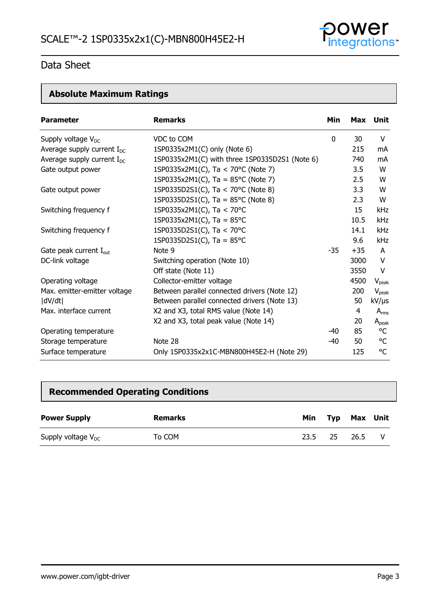

# **Absolute Maximum Ratings**

| <b>Parameter</b>                   | <b>Remarks</b>                                 | Min         |       | Max Unit          |
|------------------------------------|------------------------------------------------|-------------|-------|-------------------|
| Supply voltage $V_{DC}$            | VDC to COM                                     | $\mathbf 0$ | 30    | V                 |
| Average supply current $I_{DC}$    | 1SP0335x2M1(C) only (Note 6)                   |             | 215   | mA                |
| Average supply current $I_{DC}$    | 1SP0335x2M1(C) with three 1SP0335D2S1 (Note 6) |             | 740   | mA                |
| Gate output power                  | 1SP0335x2M1(C), Ta < 70°C (Note 7)             |             | 3.5   | W                 |
|                                    | 1SP0335x2M1(C), Ta = $85^{\circ}$ C (Note 7)   |             | 2.5   | W                 |
| Gate output power                  | 1SP0335D2S1(C), Ta < 70°C (Note 8)             |             | 3.3   | W                 |
|                                    | 1SP0335D2S1(C), Ta = $85^{\circ}$ C (Note 8)   |             | 2.3   | W                 |
| Switching frequency f              | 1SP0335x2M1(C), Ta < 70°C                      |             | 15    | <b>kHz</b>        |
|                                    | 1SP0335x2M1(C), Ta = $85^{\circ}$ C            |             | 10.5  | kHz               |
| Switching frequency f              | 1SP0335D2S1(C), Ta < 70°C                      |             | 14.1  | kHz               |
|                                    | 1SP0335D2S1(C), Ta = $85^{\circ}$ C            |             | 9.6   | <b>kHz</b>        |
| Gate peak current I <sub>out</sub> | Note 9                                         | $-35$       | $+35$ | A                 |
| DC-link voltage                    | Switching operation (Note 10)                  |             | 3000  | V                 |
|                                    | Off state (Note 11)                            |             | 3550  | V                 |
| Operating voltage                  | Collector-emitter voltage                      |             | 4500  | $V_{\text{peak}}$ |
| Max. emitter-emitter voltage       | Between parallel connected drivers (Note 12)   |             | 200   | $V_{peak}$        |
| dV/dt                              | Between parallel connected drivers (Note 13)   |             | 50    | kV/µs             |
| Max. interface current             | X2 and X3, total RMS value (Note 14)           |             | 4     | $A_{rms}$         |
|                                    | X2 and X3, total peak value (Note 14)          |             | 20    | $A_{peak}$        |
| Operating temperature              |                                                | $-40$       | 85    | °C                |
| Storage temperature                | Note 28                                        | $-40$       | 50    | °C                |
| Surface temperature                | Only 1SP0335x2x1C-MBN800H45E2-H (Note 29)      |             | 125   | °C                |

# **Recommended Operating Conditions**

| <b>Power Supply</b>     | Remarks | Min  |     | Typ Max Unit |  |
|-------------------------|---------|------|-----|--------------|--|
| Supply voltage $V_{DC}$ | To COM  | 23.5 | -25 | 26.5         |  |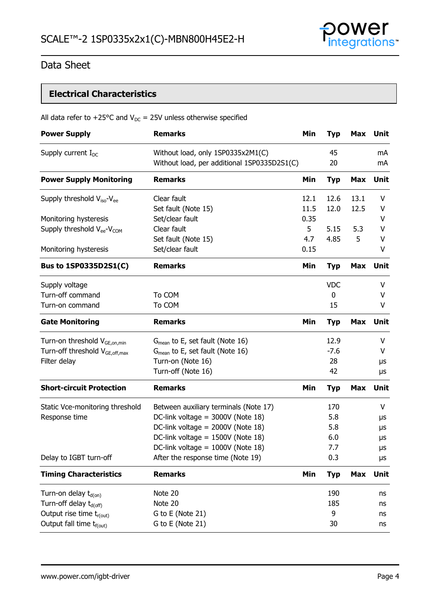

# **Electrical Characteristics**

|  | All data refer to +25°C and $V_{DC}$ = 25V unless otherwise specified |
|--|-----------------------------------------------------------------------|
|--|-----------------------------------------------------------------------|

| <b>Power Supply</b>                                | <b>Remarks</b>                                                                   | Min  | <b>Typ</b> | Max        | <b>Unit</b> |
|----------------------------------------------------|----------------------------------------------------------------------------------|------|------------|------------|-------------|
| Supply current $I_{DC}$                            | Without load, only 1SP0335x2M1(C)<br>Without load, per additional 1SP0335D2S1(C) |      | 45<br>20   |            | mA<br>mA    |
| <b>Power Supply Monitoring</b>                     | <b>Remarks</b>                                                                   | Min  | <b>Typ</b> | <b>Max</b> | Unit        |
| Supply threshold $V_{iso}$ - $V_{ee}$              | Clear fault                                                                      | 12.1 | 12.6       | 13.1       | V           |
|                                                    | Set fault (Note 15)                                                              | 11.5 | 12.0       | 12.5       | V           |
| Monitoring hysteresis                              | Set/clear fault                                                                  | 0.35 |            |            | ۷           |
| Supply threshold V <sub>ee</sub> -V <sub>COM</sub> | Clear fault                                                                      | 5    | 5.15       | 5.3        | V           |
|                                                    | Set fault (Note 15)                                                              | 4.7  | 4.85       | 5          | v           |
| Monitoring hysteresis                              | Set/clear fault                                                                  | 0.15 |            |            | V           |
| Bus to 1SP0335D2S1(C)                              | <b>Remarks</b>                                                                   | Min  | <b>Typ</b> | <b>Max</b> | <b>Unit</b> |
| Supply voltage                                     |                                                                                  |      | <b>VDC</b> |            | V           |
| Turn-off command                                   | To COM                                                                           |      | 0          |            | V           |
| Turn-on command                                    | To COM                                                                           |      | 15         |            | V           |
| <b>Gate Monitoring</b>                             | <b>Remarks</b>                                                                   | Min  | <b>Typ</b> | <b>Max</b> | <b>Unit</b> |
| Turn-on threshold V <sub>GE,on,min</sub>           | $G_{mean}$ to E, set fault (Note 16)                                             |      | 12.9       |            | V           |
| Turn-off threshold V <sub>GE, off, max</sub>       | $G_{mean}$ to E, set fault (Note 16)                                             |      | $-7.6$     |            | V           |
| Filter delay                                       | Turn-on (Note 16)                                                                |      | 28         |            | μs          |
|                                                    | Turn-off (Note 16)                                                               |      | 42         |            | μs          |
| <b>Short-circuit Protection</b>                    | <b>Remarks</b>                                                                   | Min  | <b>Typ</b> | <b>Max</b> | Unit        |
| Static Vce-monitoring threshold                    | Between auxiliary terminals (Note 17)                                            |      | 170        |            | V           |
| Response time                                      | DC-link voltage = 3000V (Note 18)                                                |      | 5.8        |            | μs          |
|                                                    | DC-link voltage = 2000V (Note 18)                                                |      | 5.8        |            | μs          |
|                                                    | DC-link voltage = 1500V (Note 18)                                                |      | 6.0        |            | μs          |
|                                                    | DC-link voltage = 1000V (Note 18)                                                |      | 7.7        |            | μs          |
| Delay to IGBT turn-off                             | After the response time (Note 19)                                                |      | 0.3        |            | μs          |
| <b>Timing Characteristics</b>                      | <b>Remarks</b>                                                                   | Min  | <b>Typ</b> | <b>Max</b> | <b>Unit</b> |
| Turn-on delay t <sub>d(on)</sub>                   | Note 20                                                                          |      | 190        |            | ns          |
| Turn-off delay t <sub>d(off)</sub>                 | Note 20                                                                          |      | 185        |            | ns          |
| Output rise time t <sub>r(out)</sub>               | G to E (Note 21)                                                                 |      | 9          |            | ns          |
| Output fall time t <sub>f(out)</sub>               | G to E (Note 21)                                                                 |      | 30         |            | ns          |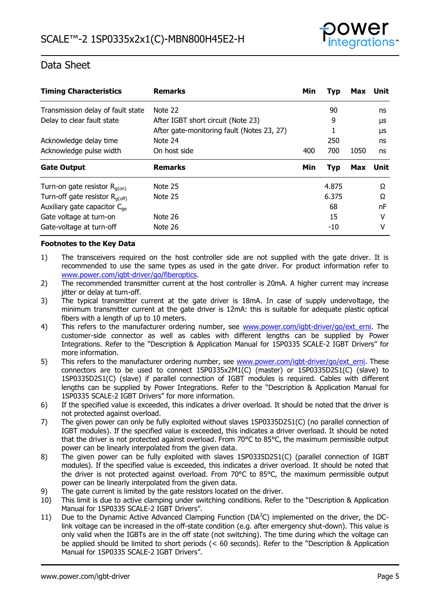

| <b>Timing Characteristics</b>              | <b>Remarks</b>                             | Min | <b>Typ</b> | Max  | Unit     |
|--------------------------------------------|--------------------------------------------|-----|------------|------|----------|
| Transmission delay of fault state          | Note 22                                    |     | 90         |      | ns       |
| Delay to clear fault state                 | After IGBT short circuit (Note 23)         |     | 9          |      | μs       |
|                                            | After gate-monitoring fault (Notes 23, 27) |     |            |      | μs       |
| Acknowledge delay time                     | Note 24                                    |     | 250        |      | ns       |
| Acknowledge pulse width                    | On host side                               | 400 | 700        | 1050 | ns       |
|                                            |                                            |     |            |      |          |
| <b>Gate Output</b>                         | <b>Remarks</b>                             | Min | <b>Typ</b> | Max  | Unit     |
| Turn-on gate resistor $R_{q(0n)}$          | Note 25                                    |     | 4.875      |      | $\Omega$ |
| Turn-off gate resistor $R_{q(\text{off})}$ | Note 25                                    |     | 6.375      |      | Ω        |
| Auxiliary gate capacitor $C_{ae}$          |                                            |     | 68         |      | nF       |
| Gate voltage at turn-on                    | Note 26                                    |     | 15         |      | v        |

### **Footnotes to the Key Data**

- 1) The transceivers required on the host controller side are not supplied with the gate driver. It is recommended to use the same types as used in the gate driver. For product information refer to [www.power.com/igbt-driver/go/fiberoptics.](http://www.power.com/igbt-driver/go/fiberoptics)
- 2) The recommended transmitter current at the host controller is 20mA. A higher current may increase jitter or delay at turn-off.
- 3) The typical transmitter current at the gate driver is 18mA. In case of supply undervoltage, the minimum transmitter current at the gate driver is 12mA: this is suitable for adequate plastic optical fibers with a length of up to 10 meters.
- 4) This refers to the manufacturer ordering number, see www.power.com/igbt-driver/go/ext erni. The customer-side connector as well as cables with different lengths can be supplied by Power Integrations. Refer to the "Description & Application Manual for 1SP0335 SCALE-2 IGBT Drivers" for more information.
- 5) This refers to the manufacturer ordering number, see [www.power.com/igbt-driver/go/ext\\_erni.](http://www.power.com/igbt-driver/go/ext_erni) These connectors are to be used to connect 1SP0335x2M1(C) (master) or 1SP0335D2S1(C) (slave) to 1SP0335D2S1(C) (slave) if parallel connection of IGBT modules is required. Cables with different lengths can be supplied by Power Integrations. Refer to the "Description & Application Manual for 1SP0335 SCALE-2 IGBT Drivers" for more information.
- 6) If the specified value is exceeded, this indicates a driver overload. It should be noted that the driver is not protected against overload.
- 7) The given power can only be fully exploited without slaves 1SP0335D2S1(C) (no parallel connection of IGBT modules). If the specified value is exceeded, this indicates a driver overload. It should be noted that the driver is not protected against overload. From 70°C to 85°C, the maximum permissible output power can be linearly interpolated from the given data.
- 8) The given power can be fully exploited with slaves 1SP0335D2S1(C) (parallel connection of IGBT modules). If the specified value is exceeded, this indicates a driver overload. It should be noted that the driver is not protected against overload. From 70°C to 85°C, the maximum permissible output power can be linearly interpolated from the given data.
- 9) The gate current is limited by the gate resistors located on the driver.
- 10) This limit is due to active clamping under switching conditions. Refer to the "Description & Application Manual for 1SP0335 SCALE-2 IGBT Drivers".
- 11) Due to the Dynamic Active Advanced Clamping Function ( $DA<sup>2</sup>C$ ) implemented on the driver, the DClink voltage can be increased in the off-state condition (e.g. after emergency shut-down). This value is only valid when the IGBTs are in the off state (not switching). The time during which the voltage can be applied should be limited to short periods (< 60 seconds). Refer to the "Description & Application Manual for 1SP0335 SCALE-2 IGBT Drivers".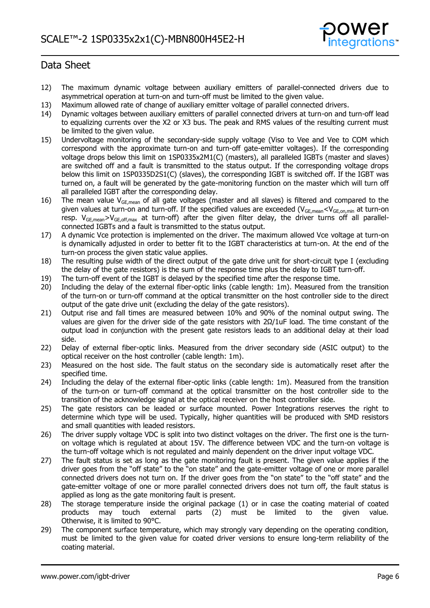

- 12) The maximum dynamic voltage between auxiliary emitters of parallel-connected drivers due to asymmetrical operation at turn-on and turn-off must be limited to the given value.
- 13) Maximum allowed rate of change of auxiliary emitter voltage of parallel connected drivers.
- 14) Dynamic voltages between auxiliary emitters of parallel connected drivers at turn-on and turn-off lead to equalizing currents over the X2 or X3 bus. The peak and RMS values of the resulting current must be limited to the given value.
- 15) Undervoltage monitoring of the secondary-side supply voltage (Viso to Vee and Vee to COM which correspond with the approximate turn-on and turn-off gate-emitter voltages). If the corresponding voltage drops below this limit on 1SP0335x2M1(C) (masters), all paralleled IGBTs (master and slaves) are switched off and a fault is transmitted to the status output. If the corresponding voltage drops below this limit on 1SP0335D2S1(C) (slaves), the corresponding IGBT is switched off. If the IGBT was turned on, a fault will be generated by the gate-monitoring function on the master which will turn off all paralleled IGBT after the corresponding delay.
- 16) The mean value  $V_{GE,mean}$  of all gate voltages (master and all slaves) is filtered and compared to the given values at turn-on and turn-off. If the specified values are exceeded ( $V_{GE,mean} < V_{GE,on,min}$  at turn-on resp.  $V_{GE,mean} > V_{GE,off,max}$  at turn-off) after the given filter delay, the driver turns off all parallelconnected IGBTs and a fault is transmitted to the status output.
- 17) A dynamic Vce protection is implemented on the driver. The maximum allowed Vce voltage at turn-on is dynamically adjusted in order to better fit to the IGBT characteristics at turn-on. At the end of the turn-on process the given static value applies.
- 18) The resulting pulse width of the direct output of the gate drive unit for short-circuit type I (excluding the delay of the gate resistors) is the sum of the response time plus the delay to IGBT turn-off.
- 19) The turn-off event of the IGBT is delayed by the specified time after the response time.
- 20) Including the delay of the external fiber-optic links (cable length: 1m). Measured from the transition of the turn-on or turn-off command at the optical transmitter on the host controller side to the direct output of the gate drive unit (excluding the delay of the gate resistors).
- 21) Output rise and fall times are measured between 10% and 90% of the nominal output swing. The values are given for the driver side of the gate resistors with  $2Ω/1uF$  load. The time constant of the output load in conjunction with the present gate resistors leads to an additional delay at their load side.
- 22) Delay of external fiber-optic links. Measured from the driver secondary side (ASIC output) to the optical receiver on the host controller (cable length: 1m).
- 23) Measured on the host side. The fault status on the secondary side is automatically reset after the specified time.
- 24) Including the delay of the external fiber-optic links (cable length: 1m). Measured from the transition of the turn-on or turn-off command at the optical transmitter on the host controller side to the transition of the acknowledge signal at the optical receiver on the host controller side.
- 25) The gate resistors can be leaded or surface mounted. Power Integrations reserves the right to determine which type will be used. Typically, higher quantities will be produced with SMD resistors and small quantities with leaded resistors.
- 26) The driver supply voltage VDC is split into two distinct voltages on the driver. The first one is the turnon voltage which is regulated at about 15V. The difference between VDC and the turn-on voltage is the turn-off voltage which is not regulated and mainly dependent on the driver input voltage VDC.
- 27) The fault status is set as long as the gate monitoring fault is present. The given value applies if the driver goes from the "off state" to the "on state" and the gate-emitter voltage of one or more parallel connected drivers does not turn on. If the driver goes from the "on state" to the "off state" and the gate-emitter voltage of one or more parallel connected drivers does not turn off, the fault status is applied as long as the gate monitoring fault is present.
- 28) The storage temperature inside the original package (1) or in case the coating material of coated products may touch external parts (2) must be limited to the given value. Otherwise, it is limited to 90°C.
- 29) The component surface temperature, which may strongly vary depending on the operating condition, must be limited to the given value for coated driver versions to ensure long-term reliability of the coating material.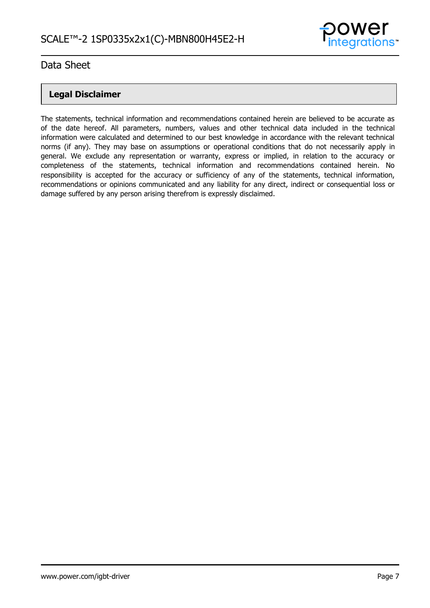

### **Legal Disclaimer**

The statements, technical information and recommendations contained herein are believed to be accurate as of the date hereof. All parameters, numbers, values and other technical data included in the technical information were calculated and determined to our best knowledge in accordance with the relevant technical norms (if any). They may base on assumptions or operational conditions that do not necessarily apply in general. We exclude any representation or warranty, express or implied, in relation to the accuracy or completeness of the statements, technical information and recommendations contained herein. No responsibility is accepted for the accuracy or sufficiency of any of the statements, technical information, recommendations or opinions communicated and any liability for any direct, indirect or consequential loss or damage suffered by any person arising therefrom is expressly disclaimed.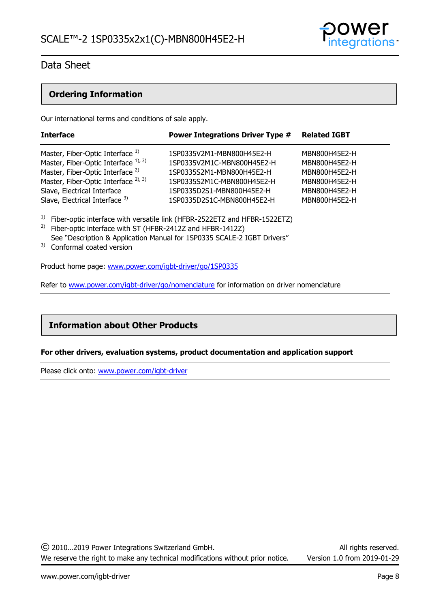

### **Ordering Information**

Our international terms and conditions of sale apply.

| <b>Interface</b>                                                                    | <b>Power Integrations Driver Type #</b>                 | <b>Related IGBT</b>            |
|-------------------------------------------------------------------------------------|---------------------------------------------------------|--------------------------------|
| Master, Fiber-Optic Interface 1)                                                    | 1SP0335V2M1-MBN800H45E2-H                               | MBN800H45E2-H                  |
| Master, Fiber-Optic Interface 1), 3)<br>Master, Fiber-Optic Interface <sup>2)</sup> | 1SP0335V2M1C-MBN800H45E2-H<br>1SP0335S2M1-MBN800H45E2-H | MBN800H45E2-H<br>MBN800H45E2-H |
| Master, Fiber-Optic Interface <sup>2), 3)</sup>                                     | 1SP0335S2M1C-MBN800H45E2-H                              | MBN800H45E2-H                  |
| Slave, Electrical Interface<br>Slave, Electrical Interface 3)                       | 1SP0335D2S1-MBN800H45E2-H<br>1SP0335D2S1C-MBN800H45E2-H | MBN800H45E2-H<br>MBN800H45E2-H |
|                                                                                     |                                                         |                                |

<sup>1)</sup> Fiber-optic interface with versatile link (HFBR-2522ETZ and HFBR-1522ETZ)

- <sup>2)</sup> Fiber-optic interface with ST (HFBR-2412Z and HFBR-1412Z) See "Description & Application Manual for 1SP0335 SCALE-2 IGBT Drivers"
- <sup>3)</sup> Conformal coated version

Product home page: [www.power.com/igbt-driver/go/1SP0335](http://www.power.com/igbt-driver/go/1SP0335) 

Refer to [www.power.com/igbt-driver/go/nomenclature](http://www.power.com/igbt-driver/go/nomenclature) for information on driver nomenclature

### **Information about Other Products**

### **For other drivers, evaluation systems, product documentation and application support**

Please click onto: [www.power.com/igbt-driver](http://www.power.com/igbt-driver)